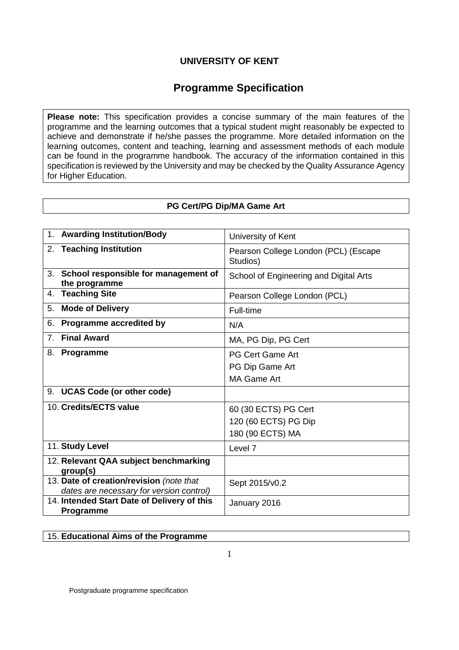# **Programme Specification**

**Please note:** This specification provides a concise summary of the main features of the programme and the learning outcomes that a typical student might reasonably be expected to achieve and demonstrate if he/she passes the programme. More detailed information on the learning outcomes, content and teaching, learning and assessment methods of each module can be found in the programme handbook. The accuracy of the information contained in this specification is reviewed by the University and may be checked by the Quality Assurance Agency for Higher Education.

## **PG Cert/PG Dip/MA Game Art**

| 1. Awarding Institution/Body                                                         | University of Kent                                               |
|--------------------------------------------------------------------------------------|------------------------------------------------------------------|
| 2. Teaching Institution                                                              | Pearson College London (PCL) (Escape<br>Studios)                 |
| 3. School responsible for management of<br>the programme                             | School of Engineering and Digital Arts                           |
| <b>Teaching Site</b><br>4.                                                           | Pearson College London (PCL)                                     |
| <b>Mode of Delivery</b><br>5.                                                        | Full-time                                                        |
| Programme accredited by<br>6.                                                        | N/A                                                              |
| <b>Final Award</b><br>7 <sup>1</sup>                                                 | MA, PG Dip, PG Cert                                              |
| 8. Programme                                                                         | <b>PG Cert Game Art</b><br>PG Dip Game Art<br><b>MA Game Art</b> |
| <b>UCAS Code (or other code)</b><br>9.                                               |                                                                  |
| 10. Credits/ECTS value                                                               | 60 (30 ECTS) PG Cert<br>120 (60 ECTS) PG Dip<br>180 (90 ECTS) MA |
| 11. Study Level                                                                      | Level <sub>7</sub>                                               |
| 12. Relevant QAA subject benchmarking<br>group(s)                                    |                                                                  |
| 13. Date of creation/revision (note that<br>dates are necessary for version control) | Sept 2015/v0.2                                                   |
| 14. Intended Start Date of Delivery of this<br>Programme                             | January 2016                                                     |

15. **Educational Aims of the Programme**

1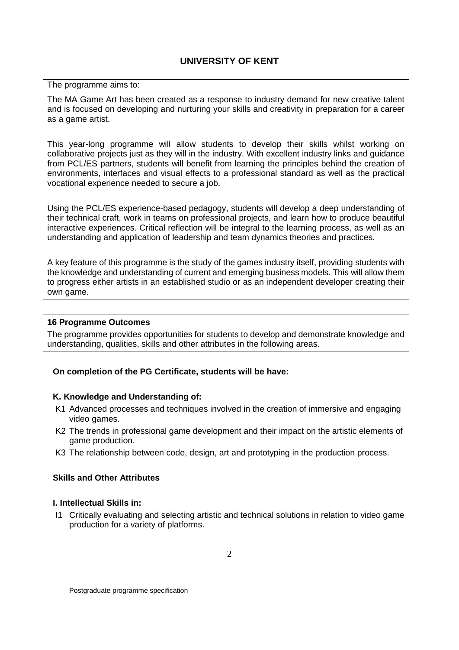#### The programme aims to:

The MA Game Art has been created as a response to industry demand for new creative talent and is focused on developing and nurturing your skills and creativity in preparation for a career as a game artist.

This year-long programme will allow students to develop their skills whilst working on collaborative projects just as they will in the industry. With excellent industry links and guidance from PCL/ES partners, students will benefit from learning the principles behind the creation of environments, interfaces and visual effects to a professional standard as well as the practical vocational experience needed to secure a job.

Using the PCL/ES experience-based pedagogy, students will develop a deep understanding of their technical craft, work in teams on professional projects, and learn how to produce beautiful interactive experiences. Critical reflection will be integral to the learning process, as well as an understanding and application of leadership and team dynamics theories and practices.

A key feature of this programme is the study of the games industry itself, providing students with the knowledge and understanding of current and emerging business models. This will allow them to progress either artists in an established studio or as an independent developer creating their own game.

#### **16 Programme Outcomes**

The programme provides opportunities for students to develop and demonstrate knowledge and understanding, qualities, skills and other attributes in the following areas.

#### **On completion of the PG Certificate, students will be have:**

#### **K. Knowledge and Understanding of:**

- K1 Advanced processes and techniques involved in the creation of immersive and engaging video games.
- K2 The trends in professional game development and their impact on the artistic elements of game production.
- K3 The relationship between code, design, art and prototyping in the production process.

### **Skills and Other Attributes**

### **I. Intellectual Skills in:**

I1 Critically evaluating and selecting artistic and technical solutions in relation to video game production for a variety of platforms.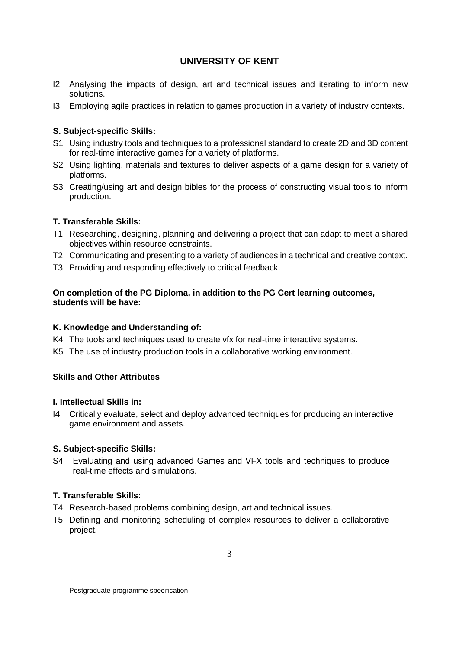- I2 Analysing the impacts of design, art and technical issues and iterating to inform new solutions.
- I3 Employing agile practices in relation to games production in a variety of industry contexts.

## **S. Subject-specific Skills:**

- S1 Using industry tools and techniques to a professional standard to create 2D and 3D content for real-time interactive games for a variety of platforms.
- S2 Using lighting, materials and textures to deliver aspects of a game design for a variety of platforms.
- S3 Creating/using art and design bibles for the process of constructing visual tools to inform production.

## **T. Transferable Skills:**

- T1 Researching, designing, planning and delivering a project that can adapt to meet a shared objectives within resource constraints.
- T2 Communicating and presenting to a variety of audiences in a technical and creative context.
- T3 Providing and responding effectively to critical feedback.

## **On completion of the PG Diploma, in addition to the PG Cert learning outcomes, students will be have:**

## **K. Knowledge and Understanding of:**

- K4 The tools and techniques used to create vfx for real-time interactive systems.
- K5 The use of industry production tools in a collaborative working environment.

## **Skills and Other Attributes**

## **I. Intellectual Skills in:**

I4 Critically evaluate, select and deploy advanced techniques for producing an interactive game environment and assets.

## **S. Subject-specific Skills:**

S4 Evaluating and using advanced Games and VFX tools and techniques to produce real-time effects and simulations.

## **T. Transferable Skills:**

- T4 Research-based problems combining design, art and technical issues.
- T5 Defining and monitoring scheduling of complex resources to deliver a collaborative project.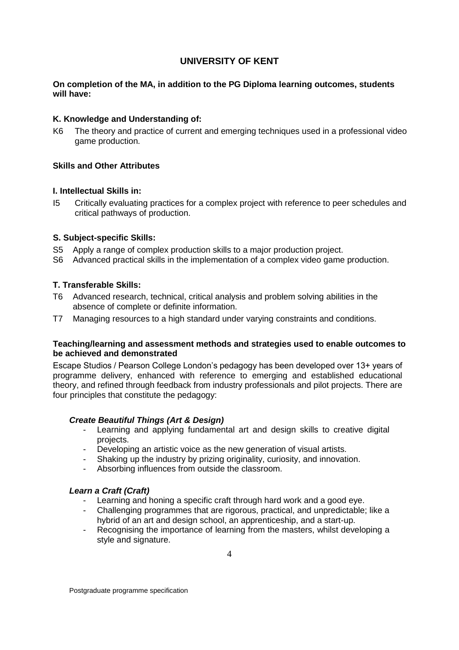### **On completion of the MA, in addition to the PG Diploma learning outcomes, students will have:**

## **K. Knowledge and Understanding of:**

K6 The theory and practice of current and emerging techniques used in a professional video game production.

### **Skills and Other Attributes**

#### **I. Intellectual Skills in:**

I5 Critically evaluating practices for a complex project with reference to peer schedules and critical pathways of production.

### **S. Subject-specific Skills:**

- S5 Apply a range of complex production skills to a major production project.
- S6 Advanced practical skills in the implementation of a complex video game production.

### **T. Transferable Skills:**

- T6 Advanced research, technical, critical analysis and problem solving abilities in the absence of complete or definite information.
- T7 Managing resources to a high standard under varying constraints and conditions.

### **Teaching/learning and assessment methods and strategies used to enable outcomes to be achieved and demonstrated**

Escape Studios / Pearson College London's pedagogy has been developed over 13+ years of programme delivery, enhanced with reference to emerging and established educational theory, and refined through feedback from industry professionals and pilot projects. There are four principles that constitute the pedagogy:

## *Create Beautiful Things (Art & Design)*

- Learning and applying fundamental art and design skills to creative digital projects.
- Developing an artistic voice as the new generation of visual artists.
- Shaking up the industry by prizing originality, curiosity, and innovation.
- Absorbing influences from outside the classroom.

#### *Learn a Craft (Craft)*

- Learning and honing a specific craft through hard work and a good eye.
- Challenging programmes that are rigorous, practical, and unpredictable; like a hybrid of an art and design school, an apprenticeship, and a start-up.
- Recognising the importance of learning from the masters, whilst developing a style and signature.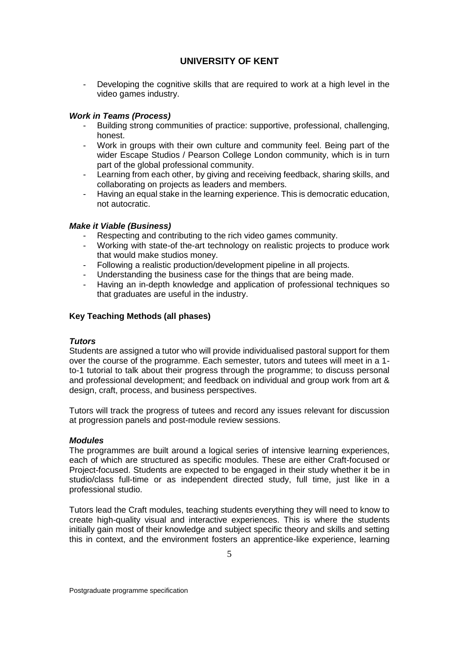- Developing the cognitive skills that are required to work at a high level in the video games industry.

## *Work in Teams (Process)*

- Building strong communities of practice: supportive, professional, challenging, honest.
- Work in groups with their own culture and community feel. Being part of the wider Escape Studios / Pearson College London community, which is in turn part of the global professional community.
- Learning from each other, by giving and receiving feedback, sharing skills, and collaborating on projects as leaders and members.
- Having an equal stake in the learning experience. This is democratic education, not autocratic.

## *Make it Viable (Business)*

- Respecting and contributing to the rich video games community.
- Working with state-of the-art technology on realistic projects to produce work that would make studios money.
- Following a realistic production/development pipeline in all projects.
- Understanding the business case for the things that are being made.
- Having an in-depth knowledge and application of professional techniques so that graduates are useful in the industry.

## **Key Teaching Methods (all phases)**

#### *Tutors*

Students are assigned a tutor who will provide individualised pastoral support for them over the course of the programme. Each semester, tutors and tutees will meet in a 1 to-1 tutorial to talk about their progress through the programme; to discuss personal and professional development; and feedback on individual and group work from art & design, craft, process, and business perspectives.

Tutors will track the progress of tutees and record any issues relevant for discussion at progression panels and post-module review sessions.

#### *Modules*

The programmes are built around a logical series of intensive learning experiences, each of which are structured as specific modules. These are either Craft-focused or Project-focused. Students are expected to be engaged in their study whether it be in studio/class full-time or as independent directed study, full time, just like in a professional studio.

Tutors lead the Craft modules, teaching students everything they will need to know to create high-quality visual and interactive experiences. This is where the students initially gain most of their knowledge and subject specific theory and skills and setting this in context, and the environment fosters an apprentice-like experience, learning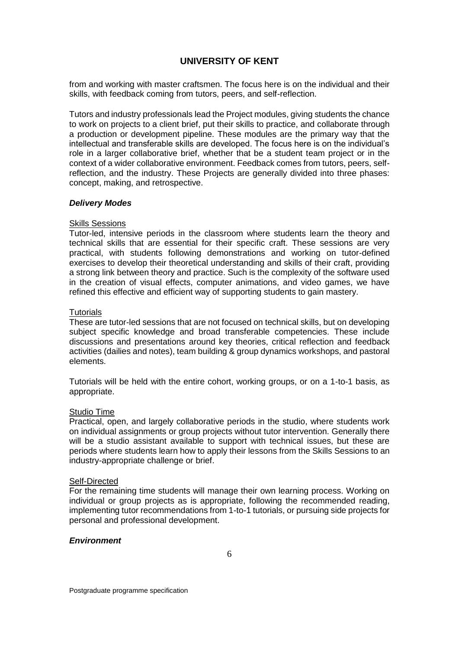from and working with master craftsmen. The focus here is on the individual and their skills, with feedback coming from tutors, peers, and self-reflection.

Tutors and industry professionals lead the Project modules, giving students the chance to work on projects to a client brief, put their skills to practice, and collaborate through a production or development pipeline. These modules are the primary way that the intellectual and transferable skills are developed. The focus here is on the individual's role in a larger collaborative brief, whether that be a student team project or in the context of a wider collaborative environment. Feedback comes from tutors, peers, selfreflection, and the industry. These Projects are generally divided into three phases: concept, making, and retrospective.

#### *Delivery Modes*

#### Skills Sessions

Tutor-led, intensive periods in the classroom where students learn the theory and technical skills that are essential for their specific craft. These sessions are very practical, with students following demonstrations and working on tutor-defined exercises to develop their theoretical understanding and skills of their craft, providing a strong link between theory and practice. Such is the complexity of the software used in the creation of visual effects, computer animations, and video games, we have refined this effective and efficient way of supporting students to gain mastery.

### **Tutorials**

These are tutor-led sessions that are not focused on technical skills, but on developing subject specific knowledge and broad transferable competencies. These include discussions and presentations around key theories, critical reflection and feedback activities (dailies and notes), team building & group dynamics workshops, and pastoral elements.

Tutorials will be held with the entire cohort, working groups, or on a 1-to-1 basis, as appropriate.

#### **Studio Time**

Practical, open, and largely collaborative periods in the studio, where students work on individual assignments or group projects without tutor intervention. Generally there will be a studio assistant available to support with technical issues, but these are periods where students learn how to apply their lessons from the Skills Sessions to an industry-appropriate challenge or brief.

#### Self-Directed

For the remaining time students will manage their own learning process. Working on individual or group projects as is appropriate, following the recommended reading, implementing tutor recommendations from 1-to-1 tutorials, or pursuing side projects for personal and professional development.

#### *Environment*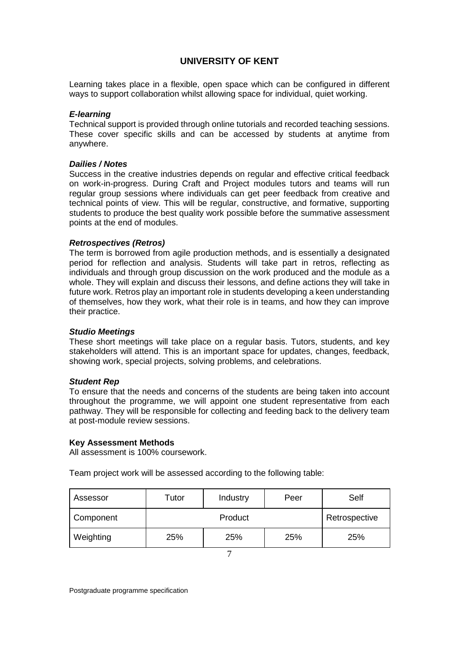Learning takes place in a flexible, open space which can be configured in different ways to support collaboration whilst allowing space for individual, quiet working.

#### *E-learning*

Technical support is provided through online tutorials and recorded teaching sessions. These cover specific skills and can be accessed by students at anytime from anywhere.

### *Dailies / Notes*

Success in the creative industries depends on regular and effective critical feedback on work-in-progress. During Craft and Project modules tutors and teams will run regular group sessions where individuals can get peer feedback from creative and technical points of view. This will be regular, constructive, and formative, supporting students to produce the best quality work possible before the summative assessment points at the end of modules.

### *Retrospectives (Retros)*

The term is borrowed from agile production methods, and is essentially a designated period for reflection and analysis. Students will take part in retros, reflecting as individuals and through group discussion on the work produced and the module as a whole. They will explain and discuss their lessons, and define actions they will take in future work. Retros play an important role in students developing a keen understanding of themselves, how they work, what their role is in teams, and how they can improve their practice.

#### *Studio Meetings*

These short meetings will take place on a regular basis. Tutors, students, and key stakeholders will attend. This is an important space for updates, changes, feedback, showing work, special projects, solving problems, and celebrations.

#### *Student Rep*

To ensure that the needs and concerns of the students are being taken into account throughout the programme, we will appoint one student representative from each pathway. They will be responsible for collecting and feeding back to the delivery team at post-module review sessions.

#### **Key Assessment Methods**

All assessment is 100% coursework.

Team project work will be assessed according to the following table:

| Assessor  | Tutor   | Industry | Peer          | Self |  |
|-----------|---------|----------|---------------|------|--|
| Component | Product |          | Retrospective |      |  |
| Weighting | 25%     | 25%      | 25%           | 25%  |  |
|           |         |          |               |      |  |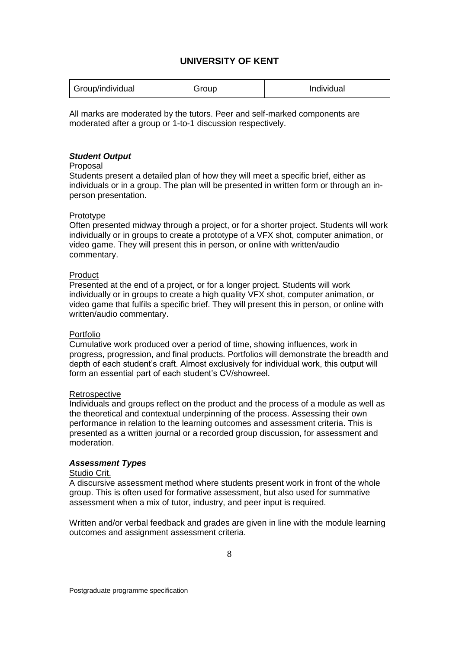| Group/individual | aroup | Individual |
|------------------|-------|------------|
|------------------|-------|------------|

All marks are moderated by the tutors. Peer and self-marked components are moderated after a group or 1-to-1 discussion respectively.

#### *Student Output*

#### Proposal

Students present a detailed plan of how they will meet a specific brief, either as individuals or in a group. The plan will be presented in written form or through an inperson presentation.

### Prototype

Often presented midway through a project, or for a shorter project. Students will work individually or in groups to create a prototype of a VFX shot, computer animation, or video game. They will present this in person, or online with written/audio commentary.

### Product

Presented at the end of a project, or for a longer project. Students will work individually or in groups to create a high quality VFX shot, computer animation, or video game that fulfils a specific brief. They will present this in person, or online with written/audio commentary.

## Portfolio

Cumulative work produced over a period of time, showing influences, work in progress, progression, and final products. Portfolios will demonstrate the breadth and depth of each student's craft. Almost exclusively for individual work, this output will form an essential part of each student's CV/showreel.

#### **Retrospective**

Individuals and groups reflect on the product and the process of a module as well as the theoretical and contextual underpinning of the process. Assessing their own performance in relation to the learning outcomes and assessment criteria. This is presented as a written journal or a recorded group discussion, for assessment and moderation.

## *Assessment Types*

## Studio Crit.

A discursive assessment method where students present work in front of the whole group. This is often used for formative assessment, but also used for summative assessment when a mix of tutor, industry, and peer input is required.

Written and/or verbal feedback and grades are given in line with the module learning outcomes and assignment assessment criteria.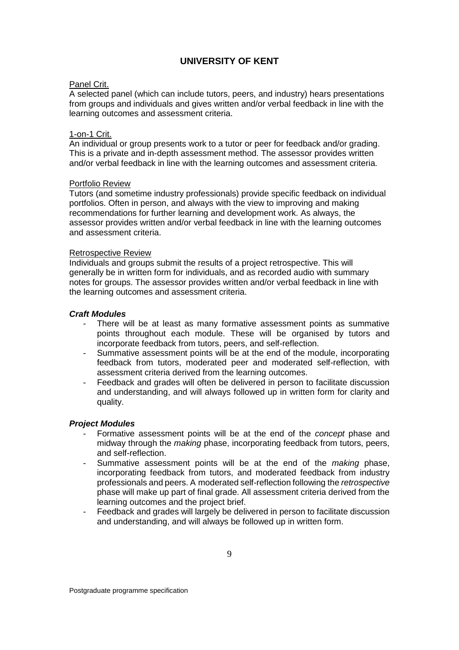### Panel Crit.

A selected panel (which can include tutors, peers, and industry) hears presentations from groups and individuals and gives written and/or verbal feedback in line with the learning outcomes and assessment criteria.

# 1-on-1 Crit.

An individual or group presents work to a tutor or peer for feedback and/or grading. This is a private and in-depth assessment method. The assessor provides written and/or verbal feedback in line with the learning outcomes and assessment criteria.

#### Portfolio Review

Tutors (and sometime industry professionals) provide specific feedback on individual portfolios. Often in person, and always with the view to improving and making recommendations for further learning and development work. As always, the assessor provides written and/or verbal feedback in line with the learning outcomes and assessment criteria.

### Retrospective Review

Individuals and groups submit the results of a project retrospective. This will generally be in written form for individuals, and as recorded audio with summary notes for groups. The assessor provides written and/or verbal feedback in line with the learning outcomes and assessment criteria.

### *Craft Modules*

- There will be at least as many formative assessment points as summative points throughout each module. These will be organised by tutors and incorporate feedback from tutors, peers, and self-reflection.
- Summative assessment points will be at the end of the module, incorporating feedback from tutors, moderated peer and moderated self-reflection, with assessment criteria derived from the learning outcomes.
- Feedback and grades will often be delivered in person to facilitate discussion and understanding, and will always followed up in written form for clarity and quality.

## *Project Modules*

- Formative assessment points will be at the end of the *concept* phase and midway through the *making* phase, incorporating feedback from tutors, peers, and self-reflection.
- Summative assessment points will be at the end of the *making* phase, incorporating feedback from tutors, and moderated feedback from industry professionals and peers. A moderated self-reflection following the *retrospective* phase will make up part of final grade. All assessment criteria derived from the learning outcomes and the project brief.
- Feedback and grades will largely be delivered in person to facilitate discussion and understanding, and will always be followed up in written form.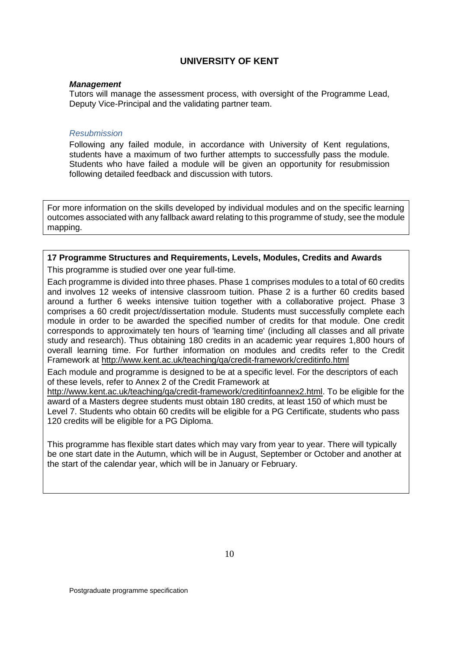#### *Management*

Tutors will manage the assessment process, with oversight of the Programme Lead, Deputy Vice-Principal and the validating partner team.

#### *Resubmission*

Following any failed module, in accordance with University of Kent regulations, students have a maximum of two further attempts to successfully pass the module. Students who have failed a module will be given an opportunity for resubmission following detailed feedback and discussion with tutors.

For more information on the skills developed by individual modules and on the specific learning outcomes associated with any fallback award relating to this programme of study, see the module mapping.

## **17 Programme Structures and Requirements, Levels, Modules, Credits and Awards**

This programme is studied over one year full-time.

Each programme is divided into three phases. Phase 1 comprises modules to a total of 60 credits and involves 12 weeks of intensive classroom tuition. Phase 2 is a further 60 credits based around a further 6 weeks intensive tuition together with a collaborative project. Phase 3 comprises a 60 credit project/dissertation module. Students must successfully complete each module in order to be awarded the specified number of credits for that module. One credit corresponds to approximately ten hours of 'learning time' (including all classes and all private study and research). Thus obtaining 180 credits in an academic year requires 1,800 hours of overall learning time. For further information on modules and credits refer to the Credit Framework at<http://www.kent.ac.uk/teaching/qa/credit-framework/creditinfo.html>

Each module and programme is designed to be at a specific level. For the descriptors of each of these levels, refer to Annex 2 of the Credit Framework at

[http://www.kent.ac.uk/teaching/qa/credit-framework/creditinfoannex2.html.](http://www.kent.ac.uk/teaching/qa/credit-framework/creditinfoannex2.html) To be eligible for the award of a Masters degree students must obtain 180 credits, at least 150 of which must be Level 7. Students who obtain 60 credits will be eligible for a PG Certificate, students who pass 120 credits will be eligible for a PG Diploma.

This programme has flexible start dates which may vary from year to year. There will typically be one start date in the Autumn, which will be in August, September or October and another at the start of the calendar year, which will be in January or February.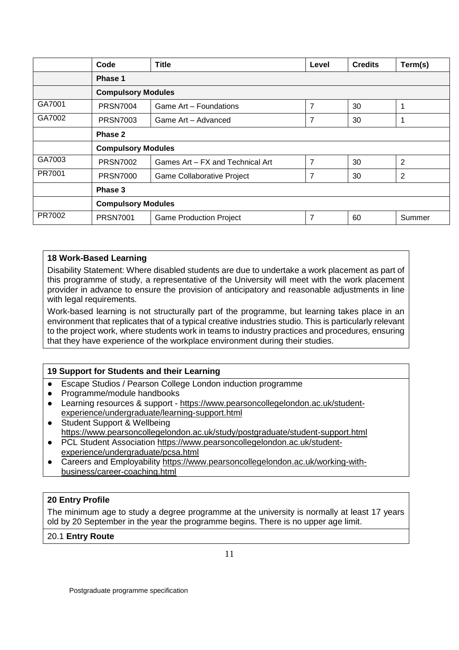|        | Code                      | <b>Title</b>                      | Level          | <b>Credits</b> | Term(s) |  |  |  |
|--------|---------------------------|-----------------------------------|----------------|----------------|---------|--|--|--|
|        | Phase 1                   |                                   |                |                |         |  |  |  |
|        | <b>Compulsory Modules</b> |                                   |                |                |         |  |  |  |
| GA7001 | <b>PRSN7004</b>           | Game Art - Foundations            | $\overline{7}$ | 30             | 1       |  |  |  |
| GA7002 | <b>PRSN7003</b>           | Game Art - Advanced               | 7              | 30             | 1       |  |  |  |
|        | Phase 2                   |                                   |                |                |         |  |  |  |
|        | <b>Compulsory Modules</b> |                                   |                |                |         |  |  |  |
| GA7003 | <b>PRSN7002</b>           | Games Art - FX and Technical Art  | $\overline{7}$ | 30             | 2       |  |  |  |
| PR7001 | <b>PRSN7000</b>           | <b>Game Collaborative Project</b> | $\overline{7}$ | 30             | 2       |  |  |  |
|        | Phase 3                   |                                   |                |                |         |  |  |  |
|        | <b>Compulsory Modules</b> |                                   |                |                |         |  |  |  |
| PR7002 | <b>PRSN7001</b>           | <b>Game Production Project</b>    | 7              | 60             | Summer  |  |  |  |

## **18 Work-Based Learning**

Disability Statement: Where disabled students are due to undertake a work placement as part of this programme of study, a representative of the University will meet with the work placement provider in advance to ensure the provision of anticipatory and reasonable adjustments in line with legal requirements.

Work-based learning is not structurally part of the programme, but learning takes place in an environment that replicates that of a typical creative industries studio. This is particularly relevant to the project work, where students work in teams to industry practices and procedures, ensuring that they have experience of the workplace environment during their studies.

## **19 Support for Students and their Learning**

- Escape Studios / Pearson College London induction programme
- Programme/module handbooks
- Learning resources & support [https://www.pearsoncollegelondon.ac.uk/student](https://www.pearsoncollegelondon.ac.uk/student-experience/undergraduate/learning-support.html)[experience/undergraduate/learning-support.html](https://www.pearsoncollegelondon.ac.uk/student-experience/undergraduate/learning-support.html)
- Student Support & Wellbeing <https://www.pearsoncollegelondon.ac.uk/study/postgraduate/student-support.html>
- PCL Student Association [https://www.pearsoncollegelondon.ac.uk/student](https://www.pearsoncollegelondon.ac.uk/student-experience/undergraduate/pcsa.html)[experience/undergraduate/pcsa.html](https://www.pearsoncollegelondon.ac.uk/student-experience/undergraduate/pcsa.html)
- Careers and Employability [https://www.pearsoncollegelondon.ac.uk/working-with](https://www.pearsoncollegelondon.ac.uk/working-with-business/career-coaching.html)[business/career-coaching.html](https://www.pearsoncollegelondon.ac.uk/working-with-business/career-coaching.html)

## **20 Entry Profile**

The minimum age to study a degree programme at the university is normally at least 17 years old by 20 September in the year the programme begins. There is no upper age limit.

20.1 **Entry Route**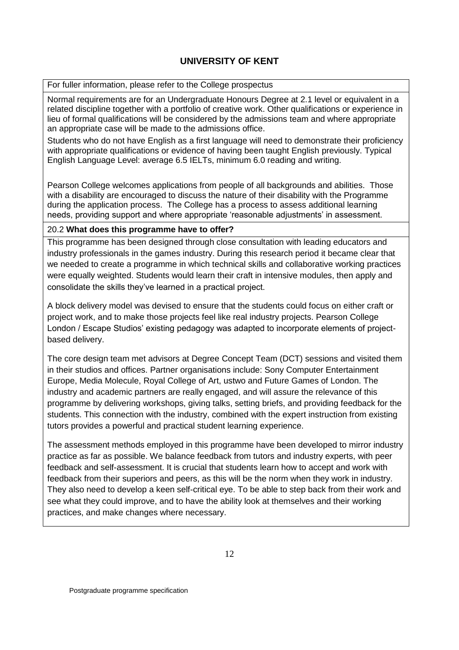For fuller information, please refer to the College prospectus

Normal requirements are for an Undergraduate Honours Degree at 2.1 level or equivalent in a related discipline together with a portfolio of creative work. Other qualifications or experience in lieu of formal qualifications will be considered by the admissions team and where appropriate an appropriate case will be made to the admissions office.

Students who do not have English as a first language will need to demonstrate their proficiency with appropriate qualifications or evidence of having been taught English previously. Typical English Language Level: average 6.5 IELTs, minimum 6.0 reading and writing.

Pearson College welcomes applications from people of all backgrounds and abilities. Those with a disability are encouraged to discuss the nature of their disability with the Programme during the application process. The College has a process to assess additional learning needs, providing support and where appropriate 'reasonable adjustments' in assessment.

## 20.2 **What does this programme have to offer?**

This programme has been designed through close consultation with leading educators and industry professionals in the games industry. During this research period it became clear that we needed to create a programme in which technical skills and collaborative working practices were equally weighted. Students would learn their craft in intensive modules, then apply and consolidate the skills they've learned in a practical project.

A block delivery model was devised to ensure that the students could focus on either craft or project work, and to make those projects feel like real industry projects. Pearson College London / Escape Studios' existing pedagogy was adapted to incorporate elements of projectbased delivery.

The core design team met advisors at Degree Concept Team (DCT) sessions and visited them in their studios and offices. Partner organisations include: Sony Computer Entertainment Europe, Media Molecule, Royal College of Art, ustwo and Future Games of London. The industry and academic partners are really engaged, and will assure the relevance of this programme by delivering workshops, giving talks, setting briefs, and providing feedback for the students. This connection with the industry, combined with the expert instruction from existing tutors provides a powerful and practical student learning experience.

The assessment methods employed in this programme have been developed to mirror industry practice as far as possible. We balance feedback from tutors and industry experts, with peer feedback and self-assessment. It is crucial that students learn how to accept and work with feedback from their superiors and peers, as this will be the norm when they work in industry. They also need to develop a keen self-critical eye. To be able to step back from their work and see what they could improve, and to have the ability look at themselves and their working practices, and make changes where necessary.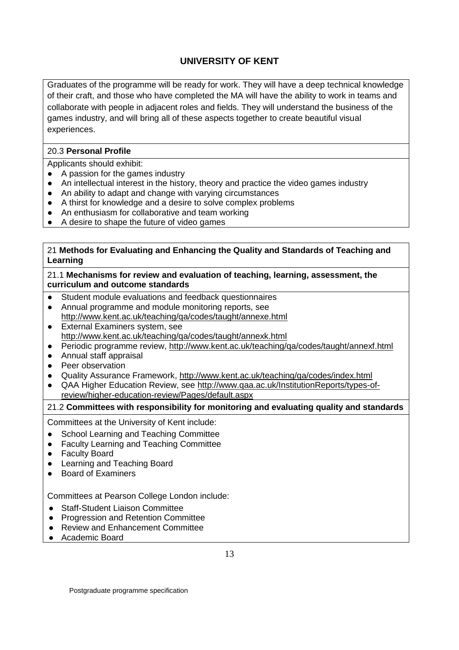Graduates of the programme will be ready for work. They will have a deep technical knowledge of their craft, and those who have completed the MA will have the ability to work in teams and collaborate with people in adjacent roles and fields. They will understand the business of the games industry, and will bring all of these aspects together to create beautiful visual experiences.

## 20.3 **Personal Profile**

Applicants should exhibit:

- A passion for the games industry
- An intellectual interest in the history, theory and practice the video games industry
- An ability to adapt and change with varying circumstances
- A thirst for knowledge and a desire to solve complex problems
- An enthusiasm for collaborative and team working
- A desire to shape the future of video games

## 21 **Methods for Evaluating and Enhancing the Quality and Standards of Teaching and Learning**

21.1 **Mechanisms for review and evaluation of teaching, learning, assessment, the curriculum and outcome standards**

- Student module evaluations and feedback questionnaires
- Annual programme and module monitoring reports, see
- <http://www.kent.ac.uk/teaching/qa/codes/taught/annexe.html>
- External Examiners system, see <http://www.kent.ac.uk/teaching/qa/codes/taught/annexk.html>
- Periodic programme review, http://www.kent.ac.uk/teaching/ga/codes/taught/annexf.html
- Annual staff appraisal
- Peer observation
- Quality Assurance Framework,<http://www.kent.ac.uk/teaching/qa/codes/index.html>
- QAA Higher Education Review, see [http://www.qaa.ac.uk/InstitutionReports/types-of](http://www.qaa.ac.uk/InstitutionReports/types-of-review/higher-education-review/Pages/default.aspx)[review/higher-education-review/Pages/default.aspx](http://www.qaa.ac.uk/InstitutionReports/types-of-review/higher-education-review/Pages/default.aspx)

## 21.2 **Committees with responsibility for monitoring and evaluating quality and standards**

Committees at the University of Kent include:

- School Learning and Teaching Committee
- Faculty Learning and Teaching Committee
- Faculty Board
- Learning and Teaching Board
- Board of Examiners

Committees at Pearson College London include:

- Staff-Student Liaison Committee
- Progression and Retention Committee
- Review and Enhancement Committee
- Academic Board